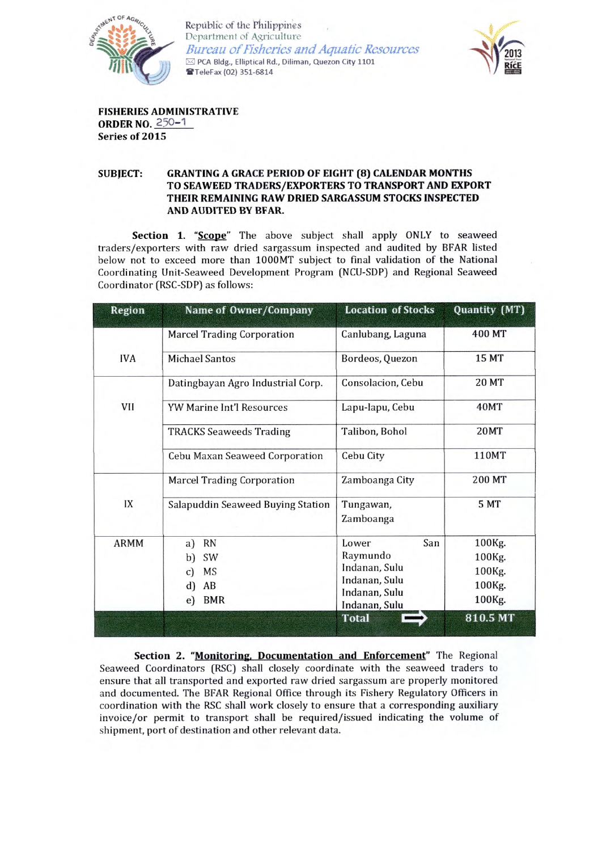

Republic of the Philippines Department of Agriculture **Bureau of Fisheries and Aquatic Resources** ⊠ PCA Bldg., Elliptical Rd., Diliman, Quezon City 1101 TeleFax (02) 351-6814



**FISHERIES ADMINISTRATIVE ORDER NO. 250-1** Series of 2015

## **GRANTING A GRACE PERIOD OF EIGHT (8) CALENDAR MONTHS SUBJECT:** TO SEAWEED TRADERS/EXPORTERS TO TRANSPORT AND EXPORT THEIR REMAINING RAW DRIED SARGASSUM STOCKS INSPECTED AND AUDITED BY BFAR.

Section 1. "Scope" The above subject shall apply ONLY to seaweed traders/exporters with raw dried sargassum inspected and audited by BFAR listed below not to exceed more than 1000MT subject to final validation of the National Coordinating Unit-Seaweed Development Program (NCU-SDP) and Regional Seaweed Coordinator (RSC-SDP) as follows:

| Region      | Name of Owner/Company                                                             | <b>Location of Stocks</b>                                                                    | Quantity (MT)                                  |
|-------------|-----------------------------------------------------------------------------------|----------------------------------------------------------------------------------------------|------------------------------------------------|
|             | <b>Marcel Trading Corporation</b>                                                 | Canlubang, Laguna                                                                            | 400 MT                                         |
| <b>IVA</b>  | <b>Michael Santos</b>                                                             | Bordeos, Quezon                                                                              | <b>15 MT</b>                                   |
| VII         | Datingbayan Agro Industrial Corp.                                                 | Consolacion, Cebu                                                                            | <b>20 MT</b>                                   |
|             | <b>YW Marine Int'l Resources</b>                                                  | Lapu-lapu, Cebu                                                                              | 40MT                                           |
|             | <b>TRACKS Seaweeds Trading</b>                                                    | Talibon, Bohol                                                                               | <b>20MT</b>                                    |
|             | <b>Cebu Maxan Seaweed Corporation</b>                                             | Cebu City                                                                                    | 110MT                                          |
| IX          | <b>Marcel Trading Corporation</b>                                                 | Zamboanga City                                                                               | 200 MT                                         |
|             | Salapuddin Seaweed Buying Station                                                 | Tungawan,<br>Zamboanga                                                                       | 5 MT                                           |
| <b>ARMM</b> | <b>RN</b><br>a)<br>SW<br>b)<br>MS<br>$\mathbf{c}$<br>d)<br>AB<br><b>BMR</b><br>e) | San<br>Lower<br>Raymundo<br>Indanan, Sulu<br>Indanan, Sulu<br>Indanan, Sulu<br>Indanan, Sulu | 100Kg.<br>100Kg.<br>100Kg.<br>100Kg.<br>100Kg. |
|             |                                                                                   | <b>Total</b>                                                                                 | 810.5 MT                                       |

Section 2. "Monitoring, Documentation and Enforcement" The Regional Seaweed Coordinators (RSC) shall closely coordinate with the seaweed traders to ensure that all transported and exported raw dried sargassum are properly monitored and documented. The BFAR Regional Office through its Fishery Regulatory Officers in coordination with the RSC shall work closely to ensure that a corresponding auxiliary invoice/or permit to transport shall be required/issued indicating the volume of shipment, port of destination and other relevant data.